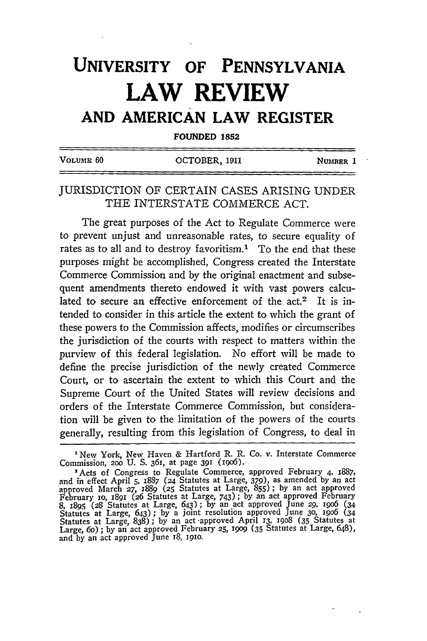## **UNIVERSITY OF PENNSYLVANIA LAW REVIEW AND AMERICAN LAW REGISTER**

**FOUNDED 1852**

| VOLUME 60 | OCTOBER, 1911 | NUMBER 1 |
|-----------|---------------|----------|
|           |               |          |

## JURISDICTION OF CERTAIN CASES ARISING UNDER THE INTERSTATE COMMERCE ACT.

The great purposes of the Act to Regulate Commerce were to prevent unjust and unreasonable rates, to secure equality of rates as to all and to destroy favoritism.<sup>1</sup> To the end that these purposes might be accomplished, Congress created the Interstate Commerce Commission and by the original enactment and subsequent amendments thereto endowed it with vast powers calculated to secure an effective enforcement of the act.<sup>2</sup> It is intended to consider in this article the extent to which the grant of these powers to the Commission affects, modifies or circumscribes the jurisdiction of the courts with respect to matters within the purview of this federal legislation. No effort will be made to define the precise jurisdiction of the newly created Commerce Court, or to ascertain the extent to which this Court and the Supreme Court of the United States will review decisions and orders of the Interstate Commerce Commission, but consideration will be given to the limitation of the powers of the courts generally, resulting from this legislation of Congress, to deal in

<sup>1</sup>New York, New Haven & Hartford R. R. Co. v. Interstate Commerce Commission, **200** U. **S.** 361, at page **391** (19o6).

<sup>&#</sup>x27;Acts of Congress to Regulate Commerce, approved February 4, 1887, and in effect April 5, 1887 (24 Statutes at Large, 379), as amended by an act<br>approved March 27, 1889 (25 Statutes at Large, 855); by an act approved<br>February 10, 1891 (26 Statutes at Large, 743); by an act approved Februa 8, i895 (28 Statutes at Large, 643); by an act approved June **29,** igo6 (34 Statutes at Large, 643); by a joint resolution approved June **30,** i9o6 (34 Statutes at Large, 838); by an act -approved April **i3, 1908 (35** Statutes at Large, 6o) ; by an act approved February **25, 1909** (35 Statutes at Large, 648), and by an act approved June 18, **1910.**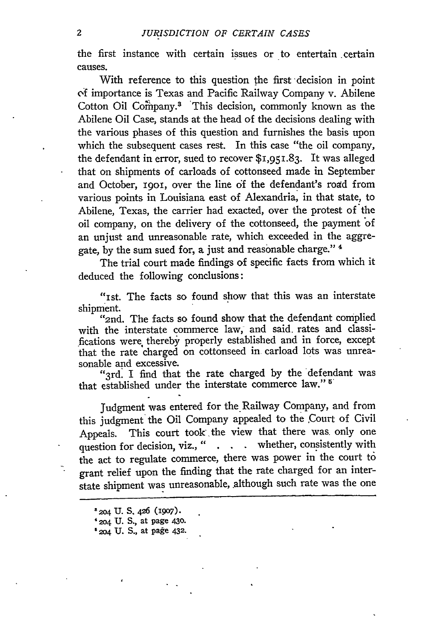the first instance with certain issues or to entertain certain causes.

With reference to this question the first decision in point cf importance is Texas and Pacific Railway Company v. Abilene Cotton Oil Company.<sup>3</sup> This decision, commonly known as the Abilene Oil Case, stands at the head of the decisions dealing with the various phases of this question and furnishes the basis upon which the subsequent cases rest. In this case "the oil company, the defendant in error, sued to recover \$1,951.83. It was alleged that on shipments of carloads of cottonseed made in September and October, 1901, over the line of the defendant's road from various points in Louisiana east of Alexandria, in that state, to Abilene, Texas, the carrier had exacted, over the protest of the oil company, on the delivery of the cottonseed, the payment of an unjust and unreasonable rate, which exceeded in the aggregate, by the sum sued for, a just and reasonable charge." 4

The trial court made findings of specific facts from which it deduced the following conclusions:

"Ist. The facts so found show that this was an interstate

shipment. "2nd. The facts so found show that the defendant complied with the interstate commerce law, and said. rates and classifications were' thereby properly established and in force, except that the rate charged on cottonseed in carload lots was unreasonable and excessive.

"3rd. I find that the rate charged **by** the defendant was that established under the interstate commerce law." 5

Judgment was entered for the Railway Company, and from this judgment the Oil Company appealed to the Court of Civil Appeals. This court took the view that there was. only one question for decision, viz., " **. . .** whether, consistently with the act to regulate commerce, there was power in the court to grant relief upon the finding that the rate charged for an interstate shipment was unreasonable, although such rate was the one

<sup>8204</sup> **U.** S. 426 **(19o7).**

<sup>4</sup>**204 U. S.,** at page 430.

**<sup>5 204</sup> U. S.,** at page **432.**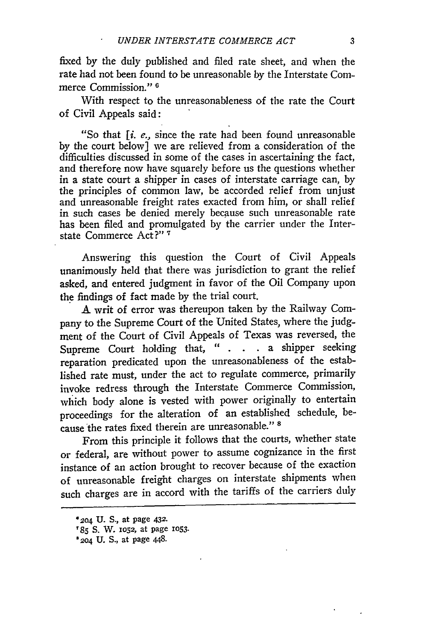fixed by the duly published and filed rate sheet, and when the rate had not been found to be unreasonable by the Interstate Commerce Commission." **6**

With respect to the unreasonableness of the rate the Court of Civil Appeals said:

"So that *[i.* e., since the rate had been found unreasonable by the court below] we are relieved from a consideration of the difficulties discussed in some of the cases in ascertaining the fact, and therefore now have squarely before us the questions whether in a state court a shipper in cases of interstate carriage can, by the principles of common law, be accorded relief from unjust and unreasonable freight rates exacted from him, or shall relief in such cases be denied merely because such unreasonable rate has been filed and promulgated by the carrier under the Interstate Commerce Act?" **<sup>7</sup>**

Answering this question the Court of Civil Appeals unanimously held that there was jurisdiction to grant the relief asked, and entered judgment in favor of the Oil Company upon the findings of fact made by the trial court.

A writ of error was thereupon taken by the Railway Company to the Supreme Court of the United States, where the judgment of the Court of Civil Appeals of Texas was reversed, the Supreme Court holding that, " **.** a shipper seeking reparation predicated upon the unreasonableness of the established rate must, under the act to regulate commerce, primarily invoke redress through the Interstate Commerce Commission, which body alone is vested with power originally to entertain proceedings for the alteration of an established schedule, because the rates fixed therein are unreasonable." **<sup>8</sup>**

From this principle it follows that the courts, whether state or federal, are without power to assume cognizance in the first instance of an action brought to recover because of the exaction of unreasonable freight charges on interstate shipments when such charges are in accord with the tariffs of the carriers duly

*<sup>204</sup>* **U. S., at** page 432.

**<sup>1</sup>85 S.** W. **i052,** at page **I053.**

<sup>&#</sup>x27;2o4 U. **S.,** at page 448.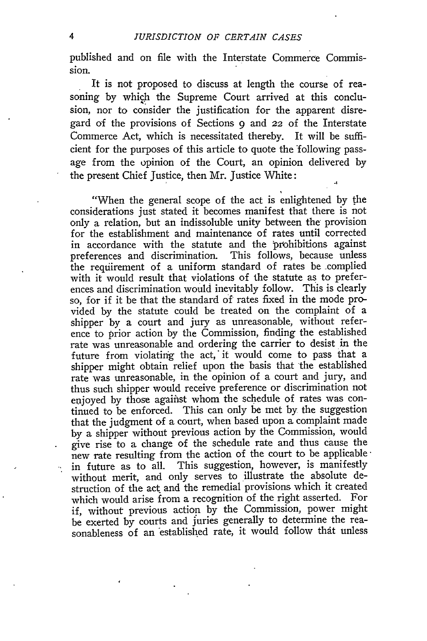published and on file with the Interstate Commerce Commission.

It is not proposed to discuss at length the course of reasoning **by** which the Supreme Court arrived at this conclusion, nor to consider the justification for the apparent disregard of the provisions of Sections 9 and 22 of the Interstate Commerce Act, which is necessitated thereby. It will be sufficient for the purposes of this article to quote the following passage from the opinion of the Court, an opinion delivered **by** the present Chief Justice, then Mr. Justice White:

"When the general scope of the act is enlightened **by** the considerations just stated it becomes manifest that there is not only a relation, but an indissoluble unity between the provision for the establishment and maintenance of rates until corrected in accordance with the statute and the prohibitions against preferences and discrimination. This follows, because unless the requirement of a uniform standard of rates be -complied with it would result that violations of the statute as to preferences and discrimination would inevitably follow. This is clearly so, for if it be that the standard of rates fixed in the mode provided **by** the statute could be treated on the complaint of a shipper **by** a court and jury as unreasonable, without reference to prior action **by** the Commission, finding the established rate was unreasonable and ordering the carrier to desist in the future from violating the act, it would come to pass that a shipper might obtain relief upon the basis that the established rate was unreasonable, in the opinion of a court and jury, and thus such shipper would receive preference or discrimination not enjoyed **by** those agaifist whom the schedule of rates was continued to be enforced. This can only be met **by** the suggestion that the judgment of a court, when based upon a complaint made by a shipper without previous action by the Commission, would give rise to a change of the schedule rate and thus cause the new rate resulting from the action of the court to be applicable in future as to all. This suggestion, however, is manifestly This suggestion, however, is manifestly without merit, and only serves to illustrate the absolute destruction of the act and the remedial provisions which it created which would arise from a recognition of the right asserted. For if, without previous action by the Commission, power might be exerted by courts and juries generally to determine the reasonableness of an established rate, it would follow that unless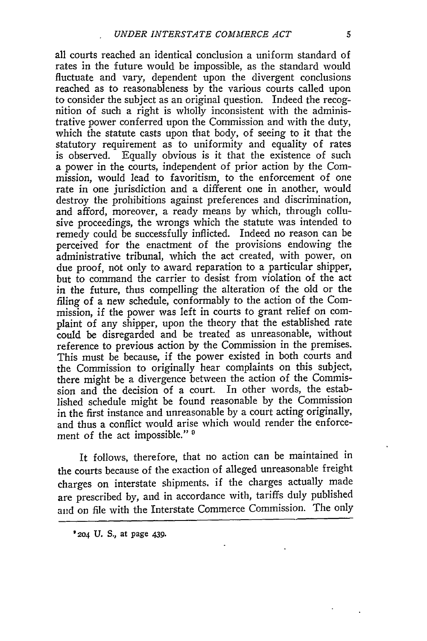all courts reached an identical conclusion a uniform standard of rates in the future would be impossible, as the standard would fluctuate and vary, dependent upon the divergent conclusions reached as to reasonableness by the various courts called upon to consider the subject as an original question. Indeed the recognition of such a right is wholly inconsistent with the administrative power conferred upon the Commission and with the duty, which the statute casts upon that body, of seeing to it that the statutory requirement as to uniformity and equality of rates is observed. Equally obvious is it that the existence of such a power in the courts, independent of prior action by the Commission, would lead to favoritism, to the enforcement of one rate in one jurisdiction and a different one in another, would destroy the prohibitions against preferences and discrimination, and afford, moreover, a ready means by which, through collusive proceedings, the wrongs which the statute was intended to remedy could be successfully inflicted. Indeed no reason can be perceived for the enactment of the provisions endowing the administrative tribunal, which the act created, with power, on due proof, not only to award reparation to a particular shipper, but to command the carrier to desist from violation of the act in the future, thus compelling the alteration of the old or the filing of a new schedule, conformably to the action of the Commission, if the power was left in courts to grant relief on complaint of any shipper, upon the theory that the established rate could be disregarded and be treated as unreasonable, without reference to previous action by the Commission in the premises. This must be because, if the power existed in both courts and the Commission to originally hear complaints on this subject, there might be a divergence between the action of the Commission and the decision of a court. In other words, the established schedule might be found reasonable by the Commission in the first instance and unreasonable by a court acting originally, and thus a conflict would arise which would render the enforcement of the act impossible." **9**

It follows, therefore, that no action can be maintained in the courts because of the exaction of alleged unreasonable freight charges on interstate shipments. if the charges actually made are prescribed by, and in accordance with, tariffs duly published and on file with the Interstate Commerce Commission. The only

'204 **U.** S., at page 439.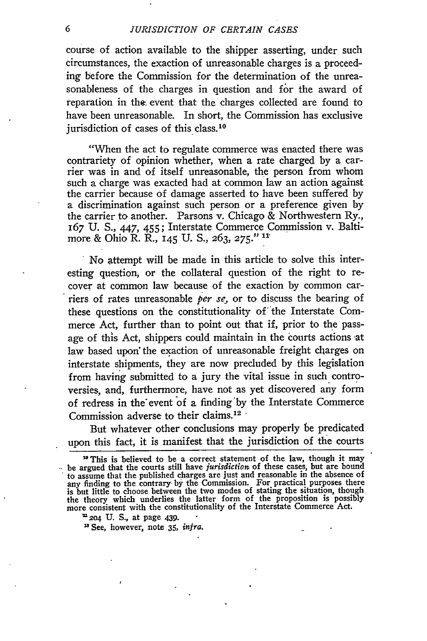## *JURISDICTION OF CERTAIN CASES*

course of action available to the shipper asserting, under such circumstances, the exaction of unreasonable charges is a proceeding before the Commission for the determination of the unreasonableness of the charges in question and for the award of reparation in the. event that the charges collected are found to have been unreasonable. In short, the Commission has exclusive jurisdiction of cases of this class.<sup>10</sup>

"When the act to regulate commerce was enacted there was contrariety of opinion whether, when a rate charged by a carrier was in and of itself unreasonable, the person from whom such a charge was exacted had at common law an action against the carrier because of damage asserted to have been suffered by a discrimination against such person or a preference given by the carrier to another. Parsons v. Chicago & Northwestern Ry., 167 U. S., 447, 455; Interstate Commerce Commission v. Baltimore & Ohio R. R., 145 U. S., 263, **275." 11-**

No attempt will be made in this article to solve this interesting question, or the collateral question of the right to recover at common law because of the exaction by common carriers of rates unreasonable per **se,** or to discuss the bearing of these questions on the constitutionality of"the Interstate Commerce Act, further than to point out that if, prior to the passage of this Act, shippers could maintain in the courts actions at law based upon' the exaction of unreasonable freight charges on interstate shipments, they are now precluded by this legislation from having submitted to a jury the vital issue in such controversies, and, furthermore, have not as yet discovered any form of redress in the event of a finding by the Interstate Commerce Commission adverse to their claims.<sup>12</sup>

But whatever other conclusions may properly be predicated upon this fact, it is manifest that the jurisdiction of the courts

**n2o4** U. S., at page 439.

' See, however, note **35,** *infra.*

<sup>&</sup>lt;sup>19</sup> This is believed to be a correct statement of the law, though it may be argued that the courts still have *jurisdiction* of these cases, but are bound to assume that the published charges are just and reasonable in the absence of any finding to the contrary- **by** the Commission. For practical purposes there is but little to choose between the two modes of stating the situation, though<br>the theory which underlies the latter form of the proposition is possibly<br>more consistent with the constitutionality of the Interstate Commerce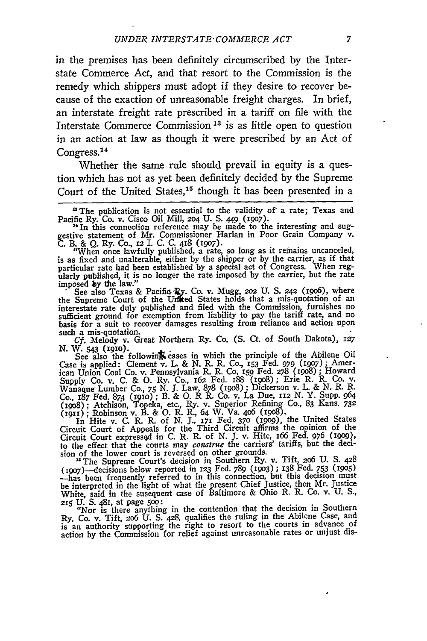in the premises has been definitely circumscribed **by** the Interstate Commerce Act, and that resort to the Commission is the remedy which shippers must adopt if they desire to recover because of the exaction of unreasonable freight charges. In brief, an interstate freight rate prescribed in a tariff on file with the Interstate Commerce Commission 13 is as little open to question in an action at law as though it were prescribed by an Act of Congress.<sup>14</sup>

Whether the same rule should prevail in equity is a question which has not as yet been definitely decided **by** the Supreme Court of the United States,<sup>15</sup> though it has been presented in a

particular rate had been established by a special act of Congress. When reg-<br>planty oublished, it is no longer the rate imposed by the carrier, but the rate imposed **ky the** law."

imposed by the law."<br>
See also Texas & Pacific Ry. Co. v. Mugg, 202 U. S. 242 (1906), where<br>
the Supreme Court of the United States holds that a mis-quotation of an interestate rate duly published and filed with the Commission, furnishes no sufficient ground for exemption from liability to pay **the** tariff rate, and no basis for a suit **to** recover damages resulting from reliance and action upon

such a mis-quotation.<br> *Cf.* Melody v. Great Northern Ry. Co. (S. Ct. of South Dakota), 127<br> *N. W. 542 (1910).* 

See also the followin\$% cases in which the principle of the Abilene Oil Case is applied: Clement v. L. & N. R. R. Co., **153** Fed. *979* **(1907);** American Union Coal Co. v. Pennsylvania R. R. Co, *I59* Fed. 278 (19o8); Howard Supply Co. v. **C.** & **0.** Ry. Co., *162* Fed. I88 (i9o8); Erie R. R. Co. v. Wanaque Lumber Co., 75 **N. J.** Law, **878** (19o8); Dickerson v. L. & **N.** R. R. Co., 187 Fed. 874 (1910); B. & O. R. R. Co. v. La Due, 112 N. Y. Supp. 964 (1908); Atchison, Topeka, etc., Ry. v. Superior Refining Co., 83 Kans. 732 (1911); Robinson v. B. & O. R. R., 64 W. Va. 406 (1908).

In Hite v. C. R. R. of N. J., 171 Fed. 370 (1909), the United States<br>Circuit Court of Appeals for the Third Circuit affirms the opinion of the Circuit Court expressed in C. R. R. of N. J. v. Hite, 166 Fed. 976 (1909), to the effect that the courts may *construe* the carriers' tariffs, but the decision of the lower court is reversed on other grounds.<br>"The Supreme

(1907)—decisions below reported in 123 Fed. 789 (1903); 138 Fed. 753 (1905)<br>—has been frequently referred to in this connection, but this decision must<br>be interpreted in the light of what the present Chief Justice, then Mr White, said in the susequent case of Baltimore & Ohio R. R. Co. v. **U. S., 2Is U. S. 481,** at page **500:** "Nor is there anything in the contention that the decision in Southern

Ry. Co. v. Tift, 2o6 U. **S.** 428, qualifies the ruling in the Abilene Case, and is an authority supporting the right to resort to the courts in advance of action by the Commission for relief against unreasonable rates or unjust dis-

<sup>&</sup>lt;sup>13</sup> The publication is not essential to the validity of a rate; Texas and Pacific Ry. Co. v. Cisco Oil Mill, **2o4 U. S. 449** *(1907).* "In this connection reference may be made to the interesting and sug-

gestive statement of Mr. Commissioner Harlan in Poor Grain Company v.<br>C. B. & Q. Ry. Co., 12 I. C. C. 418 (1907).<br>"When once lawfully published, a rate, so long as it remains uncanceled,<br>is as fixed and unalterable, either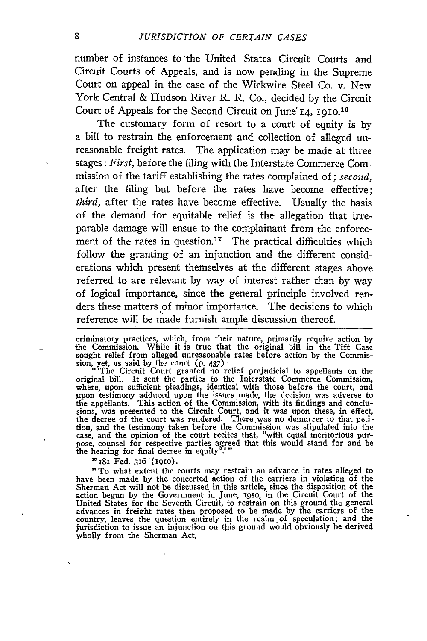number of instances to the United States Circuit Courts and Circuit Courts of Appeals, and is now pending in the Supreme Court on appeal in the case of the Wickwire Steel Co. v. New York Central & Hudson River R. R. Co., decided by the Circuit Court of Appeals for the Second Circuit on June" 14, **1910.16**

The customary form of resort to a court of equity is **by** a bill to restrain the enforcement and collection of alleged unreasonable freight rates. The application may be made at three stages: *First,* before the filing with the Interstate Commerce Commission of the tariff establishing the rates complained of; *second,* after the filing but before the rates have become effective; *third,* after the rates have become effective. Usually the basis of the demand for equitable relief is the allegation that irreparable damage will ensue to the complainant from the enforcement of the rates in question.<sup>17</sup> The practical difficulties which follow the granting of an injunction and the different considerations which present themselves at the different stages above referred to are relevant by way of interest rather than by way of logical importance, since the general principle involved renders these matters of minor importance. The decisions to which reference will be made furnish ample discussion thereof.

criminatory practices, which, from their nature, primarily require action by the Commission. While it is true that the original bill in the Tift Case sought relief from alleged unreasonable rates before action by the Commission, yet, as said by the court (p. 437) **:** "'The Circuit Court granted no relief prejudicial to appellants on the

.original bill. It sent the parties to the Interstate Commerce Commission, where, upon sufficient pleadings, identical with those before the court, and ppon testimony adduced upon the issues made, the decision was adverse to the appellants. This action of the Commission, with its findings and conclusions, was presented to the Circuit Court, and it was upon these, in effect, the decree of the court was rendered. There was no demurrer to that petition, and the testimony taken before the Commission was stipulated into the case, and the opinion of the court recites that, "with equal meritorious purpose, counsel for respective parties agreed that this would stand for the hearing for final decree in equity".

**18181** Fed. **316'(i9io).**

To what extent the courts may restrain an advance in rates alleged to have been made **by** the concerted action of the carriers in violation of the Sherman Act will not be discussed in this article, since the disposition of the action begun **by** the Government in June, I9IO, in the Circuit Court of the United States for the Seventh Circuit, to restrain on this ground the general advances in freight rates then proposed to be made by the carriers of the country, leaves the question entirely in the realm of speculation; and the jurisdiction to issue an injunction on this ground would obviously be der wholly from the Sherman Act,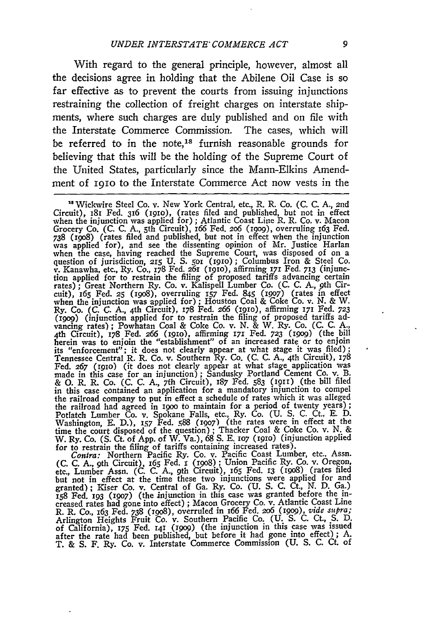With regard to the general principle, however, almost all the decisions agree in holding that the Abilene Oil Case is so far effective as to prevent the courts from issuing injunctions restraining the collection of freight charges on interstate shipments, where such charges are duly published and on file with the Interstate Commerce Commission. The cases, which will be referred to in the note,<sup>18</sup> furnish reasonable grounds for believing that this will be the holding of the Supreme Court of the United States, particularly since the Mann-Elkins Amendment of **191o** to the Interstate Commerce Act now vests in the

*Contra:* Northern Pacific Ry. Co. v. Pacific Coast Lumber, etc.. Assn. (C. C. A., 9th Circuit), 165 Fed. 1 (1908); Union Pacific Ry. Co. v. Oregon, etc., Lumber Assn. (C. C. A., 9th Circuit), 165 Fed. 13 (1908) (rates filed but not in effect at the time these two injunctions were applied for 158 Fed. *193* **(1907)** (the injunction in this case was granted before the increased rates had gone into effect) ; Macon Grocery Co. v. Atlantic Coast Line R. R. Co., 163 Fed. **738** (i9o8), overruled in 166 Fed. 2o6 (i9o9), *vide supra;* Arlington Heights Fruit Co. v. Southern Pacific Co. (U. S. C. Ct., **S.** D. of California), **175** Fed. **141 (199o)** (the injunction in this case was issued after the rate had been published, but before it had gone into effect); A. T. & S. F. Ry. Co. v. Interstate Commerce Commission (U. S. C. Ct. of

<sup>&</sup>lt;sup>18</sup> Wickwire Steel Co. v. New York Central, etc., R. R. Co. (C. C. A., 2nd Circuit), 181 Fed. 316 (1910), (rates filed and published, but not in effect when the injunction was applied for); Atlantic Coast Line R. R. Co. v. Macon Grocery Co. (C. C. A., 5th Circuit), 166 Fed. **2o6 (19o9),** overruling 163 Fed. **738** (19o8) (rates filed and published, but not in effect when the injunction was applied for), and see the dissenting opinion of Mr. Justice Harlan when the case, having reached the Supreme Court, was disposed of on a question of jurisdiction, **215** U. *S. 501* (i9ro) ; Columbus Iron & Steel Co. v. Kanawha, etc., Ry. Co., **178** Fed. *261* (igio), affirming *17* Fed. **713** (injunction applied for to restrain the filing of proposed tariffs advancing certain<br>rates); Great Northern Ry. Co. v. Kalispell Lumber Co. (C. C. A., 9th Cir-<br>cuit), 165 Fed. 25 (1908), overruling 157 Fed. 845 (1907) (rates in e Ry. Co. (C. C. A., 4th Circuit), **178** Fed. 266 (igio), affirming **171** Fed. *723 (igog)* (injunction applied for to restrain the filing of proposed tariffs advancing rates); Powhatan Coal & Coke Co. v. N. & W. Ry. Co. (C. C. A., 4th Circuit), **178** Fed. **266** (igio), affirming **171** Fed. **723** (199o) (the bill herein was to enjoin the "establishment" of an increased rate or to enjoin<br>its "enforcement"; it does not clearly appear at what stage it was filed);<br>Tennessee Central R. R. Co. v. Southern Ry. Co. (C. C. A., 4th Circuit), Fed. *267* (19io) (it does not clearly appear at what stage application was made in this case for an injunction); Sandusky Portland Cement Co. v. B. & **0.** R. R. Co. (C. C. A., **7th** Circuit), 187 Fed. **583** (1911) (the bill filed in this case contained an application for a mandatory injunction to compel the railroad company to put in effect a schedule of rates which it was alleged the railroad had agreed in igoo to maintain for a period of twenty years) **;** Potlatch Lumber Co. v. Spokane Falls, etc., Ry. Co. (U. S. C. Ct., **E.** D. Washington, E. D.), **157** Fed. **588** (19o7) (the rates were in effect at the time the court disposed of the question) ; Thacker Coal & Coke Co. v. N. & W. Ry. Co. (S. Ct. of App. of W. Va.), 68 **S.** E. **1O7** (igio) (injunction applied for to restrain the filing of tariffs containing increased rates).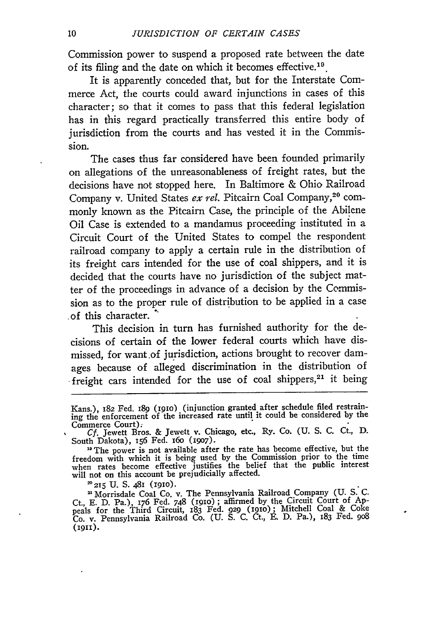Commission power to suspend a proposed rate between the date of its filing and the date on which it becomes effective.<sup>19</sup>.

It is apparently conceded that, but for the Interstate Commerce Act, the courts could award injunctions in cases of this character; so that it comes to pass that this federal legislation has in this regard practically transferred this entire body of jurisdiction from the courts and has vested it in the Commission.

The cases thus far considered have been founded primarily on allegations of the unreasonableness of freight rates, but the decisions have not stopped here. In Baltimore & Ohio Railroad Company v. United States ex rel. Pitcairn Coal Company,<sup>20</sup> commonly known as the Pitcairn Case, the principle of the Abilene Oil Case is extended to a mandamus proceeding instituted in a Circuit Court of the United States to compel the respondent railroad company to apply a certain rule in the distribution of its freight cars intended for the use of coal shippers, and it is decided that the courts have no jurisdiction of the subject matter of the proceedings in advance of a decision **by** the Commission as to the proper rule of distribution to be applied in a case of this character.

This decision in turn has furnished authority for the decisions of certain of the lower federal courts which have dismissed, for want of jurisdiction, actions brought to recover damages because of alleged discrimination in the distribution of freight cars intended for the use of coal shippers,<sup>21</sup> it being

Morrisdale Coal Co. v. The Pennsylvania Railroad Company (U. S. C. Ct., E. D. Pa.), 176 Fed. **748** (igio); affirmed by the Circuit Court of Ap-peals for the Third Circuit, 183 Fed. **929** (igio); Mitchell Coal & Coke Co. v. Pennsylvania Railroad Co. (U. S. C. Ct., E. **D.** Pa.), 183 Fed. 9o8 **(191i).**

Kans.), 182 Fed. 189 (igio) (injunction granted after schedule filed restrain-ing the enforcement of the increased rate until it could be considered **by** the Commerce Court);

*Cf.* Jewett Bros. & Jewett v. Chicago, etc., Ry. Co. **(U. S. C.** Ct., **D.** South Dakota), **156** Fed. 16o **(19o7).**

**<sup>9</sup>**The power is not available after the rate has become effective, but the freedom with which it is being used **by** the Commission prior to the time when rates become effective justifies the belief that the public interest<br>will not on this account be prejudicially affected.<br><sup>20</sup> <sup>21</sup> <sup>21</sup> <sup>21</sup> <sup>21</sup> <sup>21</sup> <sup>21</sup> <sup>21</sup>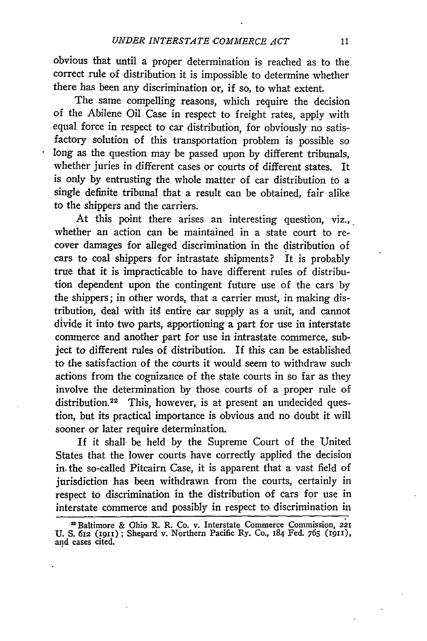obvious that until a proper determination is reached as to the correct rule of distribution it is impossible to determine whether there has been any discrimination or, if so, to what extent.

The same compelling reasons, which require the decision of the Abilene Oil Case in respect to freight rates, apply with equal force in respect to car distribution, for obviously no satisfactory solution of this transportation problem is possible so long as the question may be passed upon by different tribunals, whether juries in different cases or courts of different states. It is only by entrusting the whole matter of car distribution to a single definite tribunal that a result can be obtained, fair alike to the shippers and the carriers.

At this point there arises an interesting question, viz., whether an action can be maintained in a state court to recover damages for alleged discrimination in the distribution of cars to coal shippers for intrastate shipments? It is probably true that it is impracticable to have different rules of distribution dependent upon the contingent future use of the cars by the shippers; in other words, that a carrier must, in making distribution, deal with *itg* entire car supply as a unit, and cannot divide it into two parts, apportioning a part for use in interstate commerce and another part for use in intrastate commerce, subject to different rules of distribution. If this can be established to the satisfaction of the courts it would seem to withdraw suchactions from the cognizance of the state courts in so far as they involve the determination by those courts of a proper rule of distribution.<sup>22</sup> This, however, is at present an undecided question, but its practical importance is obvious and no doubt it will sooner or later require determination.

If it shall be held by the Supreme Court of the United States that the lower courts have correctly applied the decision in. the so-called Pitcairn Case, it is apparent that a vast field of jurisdiction has been withdrawn from the courts, certainly in respect to discrimination in the distribution of cars for use in interstate commerce and possibly in respect to discrimination in

Baltimore **&** Ohio *R.* R. Co. v. Interstate Commerce Commission, **221** 'Ur. S. **612** (igi) ; Shepard v. Northern Pacific Ry. Co., 184 Fed. *765 (I91i),* and cases cited.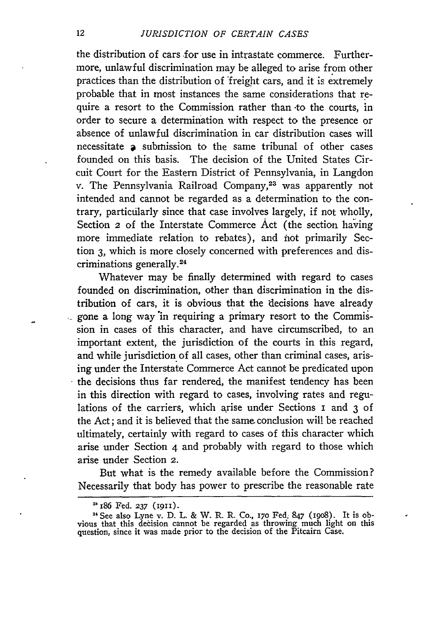the distribution of cars for use in intrastate commerce. Furthermore, unlawful discrimination may be alleged to arise from other practices than the distribution of 'freight cars, and it is extremely probable that in most instances the same considerations that require a resort to the Commission rather than -to the courts, in order to secure a determination with respect to the presence or absence of unlawful discrimination in car distribution cases will necessitate a submission to the same tribunal of other cases founded on this basis. The decision of the United States Circuit Court for the Eastern District of Pennsylvania, in Langdon v. The Pennsylvania Railroad Company,<sup>23</sup> was apparently not intended and cannot be regarded as a determination to the contrary, particularly since that case involves largely, if not wholly, Section 2 of the Interstate Commerce Act (the section having more immediate relation to rebates), and fiot primarily Section 3, which is more closely concerned with preferences and discriminations generally. <sup>24</sup>

Whatever may be finally determined with regard to cases founded on discrimination, other than discrimination in the distribution of cars, it is obvious that the decisions have already gone a long way in requiring a primary resort to the Commission in cases of this character, and have circumscribed, to an important extent, the jurisdiction of the courts in this regard, and while jurisdiction of all cases, other than criminal cases, arising under the Interstate Commerce Act cannot be predicated upon the decisions thus far rendered, the manifest tendency has been in this direction with regard to cases, involving rates and regulations of the carriers, which arise under Sections i and 3 of the Act; and it is believed that the same conclusion will be reached ultimately, certainly with regard to cases of this character which arise under Section 4 and probably with regard to those which arise under Section 2.

But what is the remedy available before the Commission? Necessarily that body has power to prescribe the reasonable rate

<sup>2186</sup> Fed. **237 (1911).**

<sup>&</sup>lt;sup>24</sup> See also Lyne v. D. L. & W. R. R. Co., 170 Fed. 847 (1908). It is obvious that this decision cannot be regarded as throwing much light on this question, since it was made prior to the decision of the Pitcairn Case.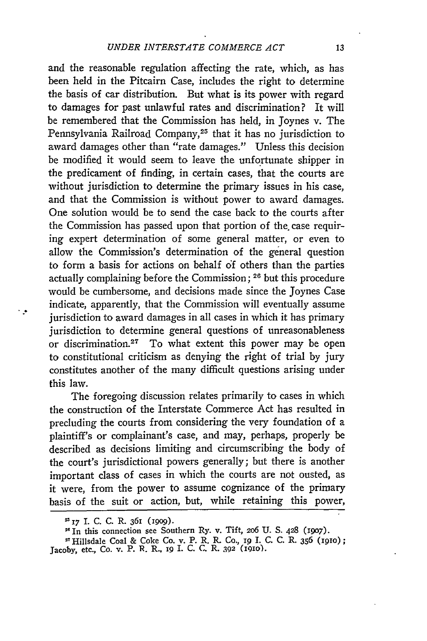and the reasonable regulation affecting the rate, which, as has been held in the Pitcairn Case, includes the right to determine the basis of car distribution. But what is its power with regard to damages for past unlawful rates and discrimination? It will be remembered that the Commission has held, in Joynes v. The Pennsylvania Railroad Company,<sup>25</sup> that it has no jurisdiction to award damages other than "rate damages." Unless this decision be modified it would seem to leave the unfortunate shipper in the predicament of finding, in certain cases, that the courts are without jurisdiction to determine the primary issues in his case, and that the Commission is without power to award damages. One solution would be to send the case back to the courts after the Commission has passed upon that portion of the. case requiring expert determination of some general matter, or even to allow the Commission's determination of the general question to form a basis for actions on behalf of others than the parties actually complaining before the Commission; **26** but this procedure would be cumbersome, and decisions made since the Joynes Case indicate, apparently, that the Commission will eventually assume jurisdiction to award damages in all cases in which it has primary jurisdiction to determine general questions of unreasonableness or discrimination.<sup>27</sup> To what extent this power may be open to constitutional criticism as denying the right of trial by jury constitutes another of the many difficult questions arising under this law.

The foregoing discussion relates primarily to cases in which the construction of the Interstate Commerce Act has resulted in precluding the courts from considering the very foundation of a plaintiff's or complainant's case, and may, perhaps, properly be described as decisions limiting and circumscribing the body of the court's jurisdictional powers generally; but there is another important class of cases in which the courts are not ousted, as it were, from the power to assume cognizance of the primary basis of the suit or action, but, while retaining this power,

**<sup>17</sup>** I. C. C. R. **361 (io9).**

**<sup>&</sup>quot;8** In this connection see Southern Ry. v. Tift, 2o6 U. S. 428 **(1907).**

IHillsdale Coal & Coke Co. v. P. R. R. Co., ig **1.** C. C. R. 356 (igio); Jacoby, etc., Co. v. P. *R.* R., ig I. C. *C.* R. *.92* (I91o).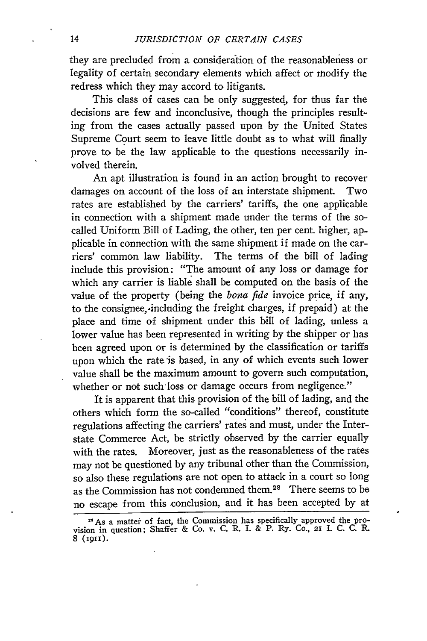they are precluded from a consideration of the reasonableness or legality of certain secondary elements which affect or modify the redress which they may accord to litigants.

This class of cases can be only suggested, for thus far the decisions are few and inconclusive, though the principles resulting from the cases actually passed upon by the United States Supreme Court seem to leave little doubt as to what will finally prove to be the law applicable to the questions necessarily involved therein.

An apt illustration is found in an action brought to recover damages on account of the loss of an interstate shipment. Two rates are established by the carriers' tariffs, the one applicable in connection with a shipment made under the terms of the socalled Uniform Bill of Lading, the other, ten per cent. higher, applicable in connection with the same shipment if made on the carriers' common law liability. The terms of the bill of lading include this provision: "The amount of any loss or damage for which any carrier is liable shall be computed on the basis of the value of the property (being the *bona fide* invoice price, if any, to the consignee, .including the freight charges, if prepaid) at the place and time of shipment under this bill of lading, unless a lower value has been represented in writing by the shipper or has been agreed upon or is determined by the classification or tariffs upon which the rate is based, in any of which events such lower value shall be the maximum amount to govern such computation, whether or not such loss or damage occurs from negligence."

It is apparent that this provision of the bill of lading, and the others which form the so-called "conditions" thereof, constitute regulations affecting the carriers' rates and must, under the Interstate Commerce Act, be strictly observed by the carrier equally with the rates. Moreover, just as the reasonableness of the rates may not be questioned by any tribunal other than the Commission, so also these regulations are not open to attack in a court so long as the Commission has not condemned them.<sup>28</sup> There seems to be no escape from this conclusion, and it has been accepted by at

**<sup>&</sup>quot;As** a matter of fact, the Commission has specifically approved the pro-vision in question; Shaffer & Co. v. C. R. I. & P. Ry. Co., **21** I. C. C. R. **8** (i911).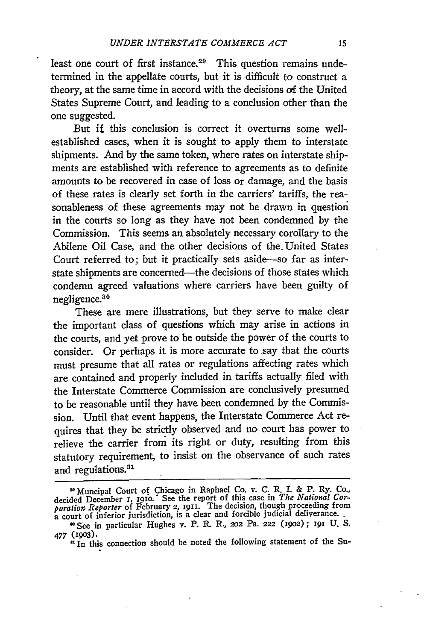least one court of first instance.<sup>29</sup> This question remains undetermined in the appellate courts, but it is difficult to construct a theory, at the same time in accord with the decisions *of* the United States Supreme Court, and leading to a conclusion other than the one suggested.

But if this conclusion is correct it overturns some wellestablished cases, when it is sought to apply them to interstate shipments. And by the same token, where rates on interstate shipments are established with reference to agreements as to definite amounts to be recovered in case of loss or damage, and the basis of these rates is clearly set forth in the carriers' tariffs, the reasonableness of these agreements may not be drawn in question in the courts so long as they have not been condemned by the Commission. This seems an absolutely necessary corollary to the Abilene Oil Case, and the other decisions of the. United States Court referred to; but it practically sets aside-so far as interstate shipments are concerned—the decisions of those states which condemn agreed valuations where carriers have been guilty of negligence.<sup>30</sup>

These are mere illustrations, but they serve to make clear the important class of questions which may arise in actions in the courts, and yet prove to be outside the power of the courts to consider. Or perhaps it is more accurate to say that the courts must presume that all rates or regulations affecting rates which are contained and properly included in tariffs actually filed with the Interstate Commerce Commission are conclusively presumed to be reasonable until they have been condemned by the Commission. Until that event happens, the Interstate Commerce Act requires that they be strictly observed and no court has power to relieve the carrier from its right or duty, resulting from this statutory requirement, to insist on the observance of such rates and regulations.<sup>31</sup>

<sup>&</sup>lt;sup>29</sup> Muncipal Court of Chicago in Raphael Co. v. C. R. I. & P. Ry. Co., decided December **I,** igio." See the report of this case in *The National Corporation Reporter* of February 2, **1911.** The decision, though proceeding from a court of inferior jurisdiction, is a clear and forcible judicial deliverance..

**w** See in particular Hughes v. P. R. R., **202** Pa. **222 (1902); 191** U. S. 477 **(1903).**

**<sup>=</sup>In** this connection should be noted the following statement of the Su-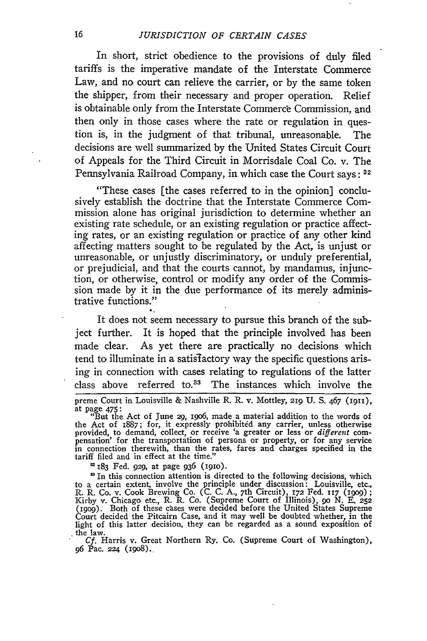In short, strict obedience to the provisions of duly filed tariffs is the imperative mandate of the Interstate Commerce Law, and no court can relieve the carrier, or by the same token the shipper, from their necessary and proper operation. Relief is obtainable only from the Interstate Commerce Commission, and then only in those cases where the rate or regulation in question is, in the judgment of that tribunal, unreasonable. The decisions are well summarized by the United States Circuit Court of Appeals for the Third Circuit in Morrisdale Coal Co. v. The Pennsylvania Railroad Company, in which case the Court says: **<sup>32</sup>**

"These cases [the cases referred to in the opinion] conclusively establish the doctrine that the Interstate Commerce Commission alone has original jurisdiction to determine whether an existing rate schedule, or an existing regulation or practice affecting rates, or an existing regulation or practice of any other kind affecting matters sought to be regulated by the Act, is unjust or unreasonable, or unjustly discriminatory, or unduly preferential, or prejudicial, and that the courts cannot, by mandamus, injunction, or otherwise, control or modify any order of the Commission made by it in the due performance of its merely administrative functions."

It does not seem necessary to pursue this branch of the subject further. It is hoped that the principle involved has been made clear. As yet there are practically no decisions which tend to illuminate in a satisfactory way the specific questions arising in connection with cases relating to regulations of the latter class above referred to.<sup>33</sup> The instances which involve the

preme Court in Louisville & Nashville R. R. v. Mottley, *219* U. **S.** 467 (1911),

at page 475:<br>
"But the Act of June 29, 1906, made a material addition to the words of<br>
the Act of 1887; for, it expressly prohibited any carrier, unless otherwise<br>
provided, to demand, collect, or receive 'a greater or les in connection therewith, than the rates, fares and charges specified in the tariff filed and in effect at the time."

<sup>32</sup> 183 Fed. 929, at page 936 (1910).

<sup>28</sup> In this connection attention is directed to the following decisions, which to a certain extent, involve the principle under discussion: Louisville, etc.,<br>R. R. Co. v. Cook Brewing Co. (C. C. A., 7th Circuit), 172 Fed. 117 (1909);<br>Kirby v. Chicago etc., R. R. Co. (Supreme Court of Illinois), 90 N. (1909). Both of these cases were decided before the United States Supreme<br>Court decided the Pitcairn Case, and it may well be doubted whether, in the<br>light of this latter decision, they can be regarded as a sound expositio the law.

*Cf.* Harris v. Great Northern Ry. Co. (Supreme Court of Washington), **96** Pac. **224** (i9o8).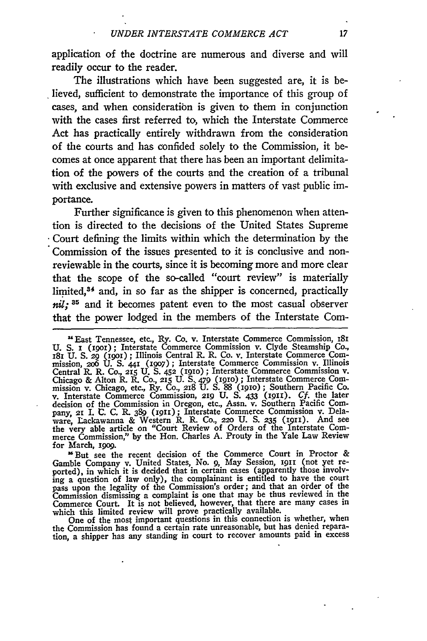application of the doctrine are numerous and diverse and will readily occur to the reader.

The illustrations which have been suggested are, it is believed, sufficient to demonstrate the importance of this group of cases, and when consideration is given to them in conjunction with the cases first referred to, which the Interstate Commerce Act has practically entirely withdrawn from the consideration of the courts and has confided solely to the Commission, it becomes at once apparent that there has been an important delimitation of the powers of the courts and the creation of a tribunal with exclusive and extensive powers in matters of vast public importance.

Further significance is given to this phenomenon when attention is directed to the decisions of the United States Supreme Court defining the limits within which the determination by the Commission of the issues presented to it is conclusive and nonreviewable in the courts, since it is becoming more and more clear that the scope of the so-called "court review" is materially limited,34 and, in so far as the shipper is concerned, practically *nil;* **3'** and it becomes patent even to the most casual observer that the power lodged in the members of the Interstate Com-

'But see the recent decision of the Commerce Court in Proctor & Gamble Company v. United States, No. 9, May Session, 1911 (not yet reported), in which it is decided that in certain cases (apparently those involving a question of law only), the complainant is entitled to have the court pass upon the legality of the Commission's order; and that an order o Commerce Court. It is not believed, however, that there are many cases in

which this limited review will prove practically available. One of the most important questions in this connection is whether, when the Commission has found a certain rate unreasonable, but has denied reparation, a shipper has any standing in court to recover amounts paid in excess

**<sup>&</sup>quot;** East Tennessee, etc., Ry. Co. v. Interstate Commerce Commission, **181** U. S. **I** (1901); Interstate Commerce Commission v. Clyde Steamship Co., 181 U. S. 29 (1901); Illinois Central R. R. Co. v. Interstate Commerce Commission, 2o6 U. S. **441** *(907);* Interstate Commerce Commission v. Illinois Central R. R. Co., **215** U. S. **452** (i9io); Interstate Commerce Commission v. Chicago & Alton R. R. Co., **215** U. **S,** *479* (i9io) **;** Interstate Commerce Com-mission v. Chicago, etc., Ry. Co., 218 U. S. 88 (igio); Southern Pacific Co. v. Interstate Commerce Commission, 219 U. S. 433 (1911). *Cf.* the later decision of the Commission in Oregon, etc., Assn. v. Southern Pacific Com-pany, **21** I. **C.** C. R. 389 (19i); Interstate Commerce Commission v. Delaware, Lackawanna & Western R. R. Co., **220 U. S. 235** (19ii). And see the very able article on "Court Review of Orders of the Interstate Com-merce Commission," **by** the Hon. Charles A. Prouty in the Yale Law Review for March, *i9o9.*